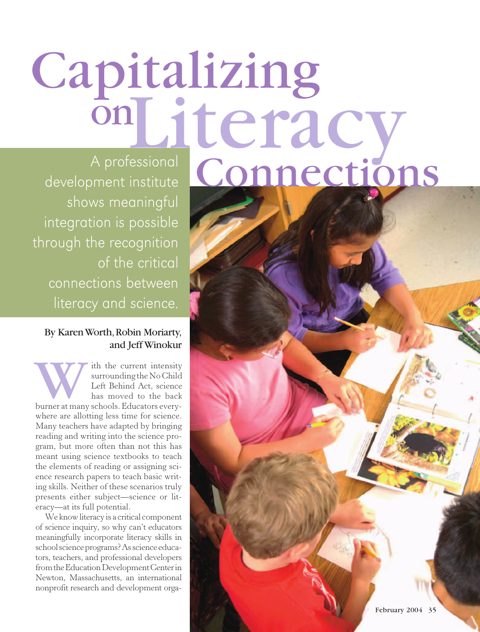# Capitalizing A professional Connections on Literacy

development institute shows meaningful integration is possible through the recognition of the critical connections between literacy and science.

# By Karen Worth, Robin Moriarty, and Jeff Winokur

ith the current intensity surrounding the No Child Left Behind Act, science has moved to the back With the current intensity<br>surrounding the No Child<br>Left Behind Act, science<br>has moved to the back<br>burner at many schools. Educators everywhere are allotting less time for science. Many teachers have adapted by bringing reading and writing into the science program, but more often than not this has meant using science textbooks to teach the elements of reading or assigning science research papers to teach basic writing skills. Neither of these scenarios truly presents either subject**—**science or literacy**—**at its full potential.

We know literacy is a critical component of science inquiry, so why can't educators meaningfully incorporate literacy skills in school science programs? As science educators, teachers, and professional developers from the Education Development Center in Newton, Massachusetts, an international nonprofit research and development orga-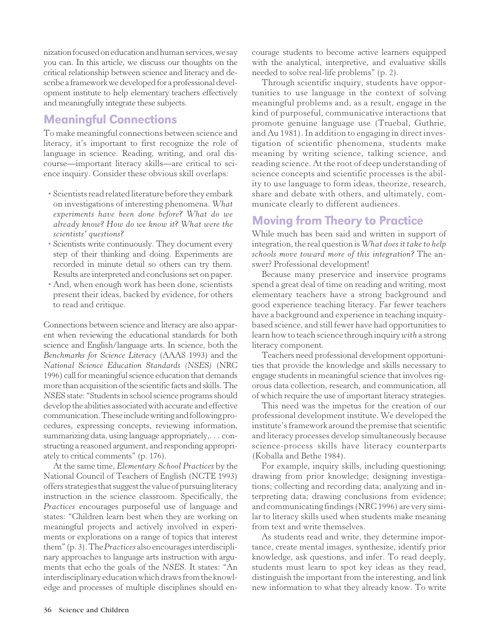nization focused on education and human services, we say you can. In this article, we discuss our thoughts on the critical relationship between science and literacy and describe a framework we developed for a professional development institute to help elementary teachers effectively and meaningfully integrate these subjects.

# Meaningful Connections

To make meaningful connections between science and literacy, it's important to first recognize the role of language in science. Reading, writing, and oral discourse**—**important literacy skills**—**are critical to science inquiry. Consider these obvious skill overlaps:

- Scientists read related literature before they embark on investigations of interesting phenomena. *What experiments have been done before? What do we already know? How do we know it? What were the scientists' questions?*
- Scientists write continuously. They document every step of their thinking and doing. Experiments are recorded in minute detail so others can try them. Results are interpreted and conclusions set on paper.
- And, when enough work has been done, scientists present their ideas, backed by evidence, for others to read and critique.

Connections between science and literacy are also apparent when reviewing the educational standards for both science and English/language arts. In science, both the *Benchmarks for Science Literacy* (AAAS 1993) and the *National Science Education Standards (NSES)* (NRC 1996) call for meaningful science education that demands more than acquisition of the scientific facts and skills. The *NSES* state: "Students in school science programs should develop the abilities associated with accurate and effective communication. These include writing and following procedures, expressing concepts, reviewing information, summarizing data, using language appropriately,. . . constructing a reasoned argument, and responding appropriately to critical comments" (p. 176).

At the same time, *Elementary School Practices* by the National Council of Teachers of English (NCTE 1993) offers strategies that suggest the value of pursuing literacy instruction in the science classroom. Specifically, the *Practices* encourages purposeful use of language and states: "Children learn best when they are working on meaningful projects and actively involved in experiments or explorations on a range of topics that interest them" (p. 3). The *Practices* also encourages interdisciplinary approaches to language arts instruction with arguments that echo the goals of the *NSES*. It states: "An interdisciplinary education which draws from the knowledge and processes of multiple disciplines should encourage students to become active learners equipped with the analytical, interpretive, and evaluative skills needed to solve real-life problems" (p. 2).

Through scientific inquiry, students have opportunities to use language in the context of solving meaningful problems and, as a result, engage in the kind of purposeful, communicative interactions that promote genuine language use (Truebal, Guthrie, and Au 1981). In addition to engaging in direct investigation of scientific phenomena, students make meaning by writing science, talking science, and reading science. At the root of deep understanding of science concepts and scientific processes is the ability to use language to form ideas, theorize, research, share and debate with others, and ultimately, communicate clearly to different audiences.

# Moving from Theory to Practice

While much has been said and written in support of integration, the real question is *What does it take to help schools move toward more of this integration?* The answer? Professional development!

Because many preservice and inservice programs spend a great deal of time on reading and writing, most elementary teachers have a strong background and good experience teaching literacy. Far fewer teachers have a background and experience in teaching inquirybased science, and still fewer have had opportunities to learn how to teach science through inquiry *with* a strong literacy component.

Teachers need professional development opportunities that provide the knowledge and skills necessary to engage students in meaningful science that involves rigorous data collection, research, and communication, all of which require the use of important literacy strategies.

This need was the impetus for the creation of our professional development institute. We developed the institute's framework around the premise that scientific and literacy processes develop simultaneously because science-process skills have literacy counterparts (Koballa and Bethe 1984).

For example, inquiry skills, including questioning; drawing from prior knowledge; designing investigations; collecting and recording data; analyzing and interpreting data; drawing conclusions from evidence; and communicating findings (NRC 1996) are very similar to literacy skills used when students make meaning from text and write themselves.

As students read and write, they determine importance, create mental images, synthesize, identify prior knowledge, ask questions, and infer. To read deeply, students must learn to spot key ideas as they read, distinguish the important from the interesting, and link new information to what they already know. To write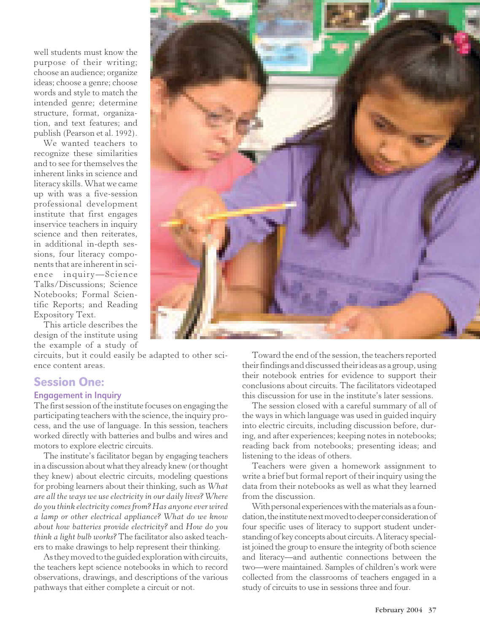well students must know the purpose of their writing; choose an audience; organize ideas; choose a genre; choose words and style to match the intended genre; determine structure, format, organization, and text features; and publish (Pearson et al. 1992).

We wanted teachers to recognize these similarities and to see for themselves the inherent links in science and literacy skills. What we came up with was a five-session professional development institute that first engages inservice teachers in inquiry science and then reiterates, in additional in-depth sessions, four literacy components that are inherent in science inquiry**—**Science Talks/Discussions; Science Notebooks; Formal Scientific Reports; and Reading Expository Text.

This article describes the design of the institute using the example of a study of

circuits, but it could easily be adapted to other science content areas.

# Session One:

#### Engagement in Inquiry

The first session of the institute focuses on engaging the participating teachers with the science, the inquiry process, and the use of language. In this session, teachers worked directly with batteries and bulbs and wires and motors to explore electric circuits.

The institute's facilitator began by engaging teachers in a discussion about what they already knew (or thought they knew) about electric circuits, modeling questions for probing learners about their thinking, such as *What are all the ways we use electricity in our daily lives? Where do you think electricity comes from? Has anyone ever wired a lamp or other electrical appliance? What do we know about how batteries provide electricity?* and *How do you think a light bulb works?* The facilitator also asked teachers to make drawings to help represent their thinking.

As they moved to the guided exploration with circuits, the teachers kept science notebooks in which to record observations, drawings, and descriptions of the various pathways that either complete a circuit or not.

Toward the end of the session, the teachers reported their findings and discussed their ideas as a group, using their notebook entries for evidence to support their conclusions about circuits. The facilitators videotaped this discussion for use in the institute's later sessions.

The session closed with a careful summary of all of the ways in which language was used in guided inquiry into electric circuits, including discussion before, during, and after experiences; keeping notes in notebooks; reading back from notebooks; presenting ideas; and listening to the ideas of others.

Teachers were given a homework assignment to write a brief but formal report of their inquiry using the data from their notebooks as well as what they learned from the discussion.

With personal experiences with the materials as a foundation, the institute next moved to deeper consideration of four specific uses of literacy to support student understanding of key concepts about circuits. A literacy specialist joined the group to ensure the integrity of both science and literacy**—**and authentic connections between the two**—**were maintained. Samples of children's work were collected from the classrooms of teachers engaged in a study of circuits to use in sessions three and four.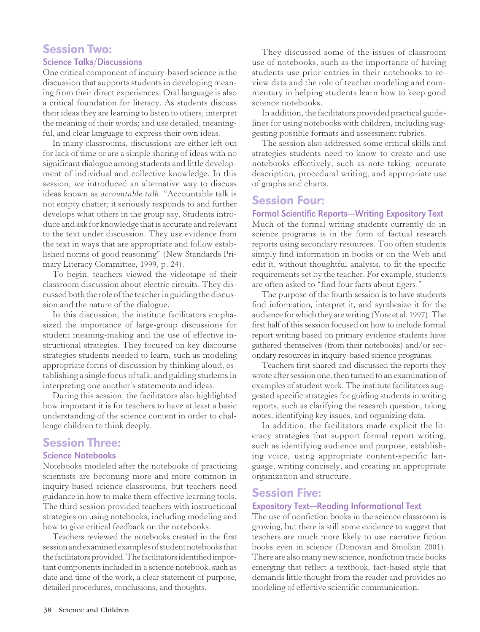# Session Two:

## Science Talks/Discussions

One critical component of inquiry-based science is the discussion that supports students in developing meaning from their direct experiences. Oral language is also a critical foundation for literacy. As students discuss their ideas they are learning to listen to others; interpret the meaning of their words; and use detailed, meaningful, and clear language to express their own ideas.

In many classrooms, discussions are either left out for lack of time or are a simple sharing of ideas with no significant dialogue among students and little development of individual and collective knowledge. In this session, we introduced an alternative way to discuss ideas known as *accountable talk*. "Accountable talk is not empty chatter; it seriously responds to and further develops what others in the group say. Students introduce and ask for knowledge that is accurate and relevant to the text under discussion. They use evidence from the text in ways that are appropriate and follow established norms of good reasoning" (New Standards Primary Literacy Committee, 1999, p. 24).

To begin, teachers viewed the videotape of their classroom discussion about electric circuits. They discussed both the role of the teacher in guiding the discussion and the nature of the dialogue.

In this discussion, the institute facilitators emphasized the importance of large-group discussions for student meaning-making and the use of effective instructional strategies. They focused on key discourse strategies students needed to learn, such as modeling appropriate forms of discussion by thinking aloud, establishing a single focus of talk, and guiding students in interpreting one another's statements and ideas.

During this session, the facilitators also highlighted how important it is for teachers to have at least a basic understanding of the science content in order to challenge children to think deeply.

# Session Three:

## Science Notebooks

Notebooks modeled after the notebooks of practicing scientists are becoming more and more common in inquiry-based science classrooms, but teachers need guidance in how to make them effective learning tools. The third session provided teachers with instructional strategies on using notebooks, including modeling and how to give critical feedback on the notebooks.

Teachers reviewed the notebooks created in the first session and examined examples of student notebooks that the facilitators provided. The facilitators identified important components included in a science notebook, such as date and time of the work, a clear statement of purpose, detailed procedures, conclusions, and thoughts.

They discussed some of the issues of classroom use of notebooks, such as the importance of having students use prior entries in their notebooks to review data and the role of teacher modeling and commentary in helping students learn how to keep good science notebooks.

In addition, the facilitators provided practical guidelines for using notebooks with children, including suggesting possible formats and assessment rubrics.

The session also addressed some critical skills and strategies students need to know to create and use notebooks effectively, such as note taking, accurate description, procedural writing, and appropriate use of graphs and charts.

## Session Four:

Formal Scientific Reports**—**Writing Expository Text Much of the formal writing students currently do in science programs is in the form of factual research reports using secondary resources. Too often students simply find information in books or on the Web and edit it, without thoughtful analysis, to fit the specific requirements set by the teacher. For example, students are often asked to "find four facts about tigers."

The purpose of the fourth session is to have students find information, interpret it, and synthesize it for the audience for which they are writing (Yore et al. 1997). The first half of this session focused on how to include formal report writing based on primary evidence students have gathered themselves (from their notebooks) and/or secondary resources in inquiry-based science programs.

Teachers first shared and discussed the reports they wrote after session one, then turned to an examination of examples of student work. The institute facilitators suggested specific strategies for guiding students in writing reports, such as clarifying the research question, taking notes, identifying key issues, and organizing data.

In addition, the facilitators made explicit the literacy strategies that support formal report writing, such as identifying audience and purpose, establishing voice, using appropriate content-specific language, writing concisely, and creating an appropriate organization and structure.

# Session Five:

#### Expository Text**—**Reading Informational Text

The use of nonfiction books in the science classroom is growing, but there is still some evidence to suggest that teachers are much more likely to use narrative fiction books even in science (Donovan and Smolkin 2001). There are also many new science, nonfiction trade books emerging that reflect a textbook, fact-based style that demands little thought from the reader and provides no modeling of effective scientific communication.